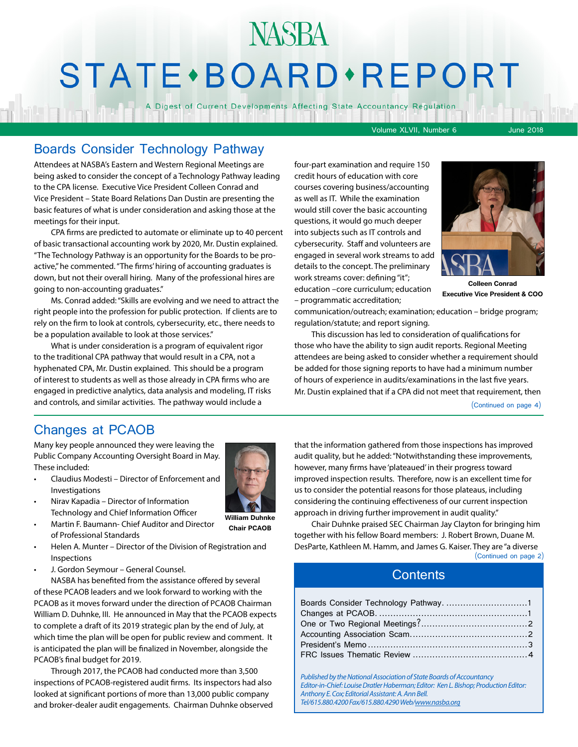# STATE · BOARD · REPORT

A Digest of Current Developments Affecting State Accountancy Regulation

Volume XLVII, Number 6 June 2018

#### Boards Consider Technology Pathway

Attendees at NASBA's Eastern and Western Regional Meetings are being asked to consider the concept of a Technology Pathway leading to the CPA license. Executive Vice President Colleen Conrad and Vice President – State Board Relations Dan Dustin are presenting the basic features of what is under consideration and asking those at the meetings for their input.

CPA firms are predicted to automate or eliminate up to 40 percent of basic transactional accounting work by 2020, Mr. Dustin explained. "The Technology Pathway is an opportunity for the Boards to be proactive," he commented. "The firms' hiring of accounting graduates is down, but not their overall hiring. Many of the professional hires are going to non-accounting graduates."

Ms. Conrad added: "Skills are evolving and we need to attract the right people into the profession for public protection. If clients are to rely on the firm to look at controls, cybersecurity, etc., there needs to be a population available to look at those services."

What is under consideration is a program of equivalent rigor to the traditional CPA pathway that would result in a CPA, not a hyphenated CPA, Mr. Dustin explained. This should be a program of interest to students as well as those already in CPA firms who are engaged in predictive analytics, data analysis and modeling, IT risks and controls, and similar activities. The pathway would include a

four-part examination and require 150 credit hours of education with core courses covering business/accounting as well as IT. While the examination would still cover the basic accounting questions, it would go much deeper into subjects such as IT controls and cybersecurity. Staff and volunteers are engaged in several work streams to add details to the concept. The preliminary work streams cover: defining "it"; education –core curriculum; education

– programmatic accreditation;



**Colleen Conrad Executive Vice President & COO**

communication/outreach; examination; education – bridge program; regulation/statute; and report signing.

This discussion has led to consideration of qualifications for those who have the ability to sign audit reports. Regional Meeting attendees are being asked to consider whether a requirement should be added for those signing reports to have had a minimum number of hours of experience in audits/examinations in the last five years. Mr. Dustin explained that if a CPA did not meet that requirement, then

(Continued on page 4)

#### Changes at PCAOB

Many key people announced they were leaving the Public Company Accounting Oversight Board in May. These included:

- Claudius Modesti Director of Enforcement and **Investigations**
- Nirav Kapadia Director of Information Technology and Chief Information Officer
- Martin F. Baumann- Chief Auditor and Director of Professional Standards
- Helen A. Munter Director of the Division of Registration and Inspections
- J. Gordon Seymour General Counsel.

NASBA has benefited from the assistance offered by several of these PCAOB leaders and we look forward to working with the PCAOB as it moves forward under the direction of PCAOB Chairman William D. Duhnke, III. He announced in May that the PCAOB expects to complete a draft of its 2019 strategic plan by the end of July, at which time the plan will be open for public review and comment. It is anticipated the plan will be finalized in November, alongside the PCAOB's final budget for 2019.

Through 2017, the PCAOB had conducted more than 3,500 inspections of PCAOB-registered audit firms. Its inspectors had also looked at significant portions of more than 13,000 public company and broker-dealer audit engagements. Chairman Duhnke observed that the information gathered from those inspections has improved audit quality, but he added: "Notwithstanding these improvements, however, many firms have 'plateaued' in their progress toward improved inspection results. Therefore, now is an excellent time for us to consider the potential reasons for those plateaus, including considering the continuing effectiveness of our current inspection approach in driving further improvement in audit quality."

Chair Duhnke praised SEC Chairman Jay Clayton for bringing him together with his fellow Board members: J. Robert Brown, Duane M. DesParte, Kathleen M. Hamm, and James G. Kaiser. They are "a diverse

(Continued on page 2)

#### **Contents**

*Published by the National Association of State Boards of Accountancy Editor-in-Chief: Louise Dratler Haberman; Editor: Ken L. Bishop; Production Editor: Anthony E. Cox; Editorial Assistant: A. Ann Bell. Tel/615.880.4200 Fax/615.880.4290 Web[/www.nasba.org](http://www.nasba.org)*



**William Duhnke Chair PCAOB**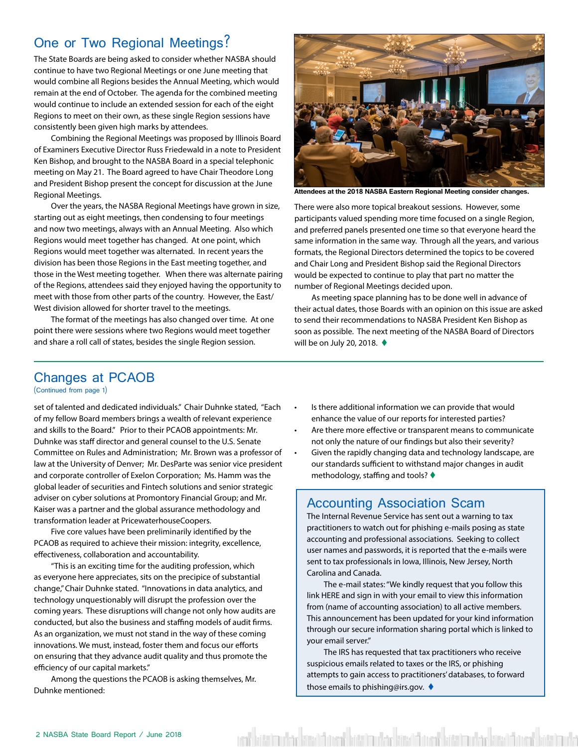#### <span id="page-1-0"></span>One or Two Regional Meetings?

The State Boards are being asked to consider whether NASBA should continue to have two Regional Meetings or one June meeting that would combine all Regions besides the Annual Meeting, which would remain at the end of October. The agenda for the combined meeting would continue to include an extended session for each of the eight Regions to meet on their own, as these single Region sessions have consistently been given high marks by attendees.

Combining the Regional Meetings was proposed by Illinois Board of Examiners Executive Director Russ Friedewald in a note to President Ken Bishop, and brought to the NASBA Board in a special telephonic meeting on May 21. The Board agreed to have Chair Theodore Long and President Bishop present the concept for discussion at the June Regional Meetings.

Over the years, the NASBA Regional Meetings have grown in size, starting out as eight meetings, then condensing to four meetings and now two meetings, always with an Annual Meeting. Also which Regions would meet together has changed. At one point, which Regions would meet together was alternated. In recent years the division has been those Regions in the East meeting together, and those in the West meeting together. When there was alternate pairing of the Regions, attendees said they enjoyed having the opportunity to meet with those from other parts of the country. However, the East/ West division allowed for shorter travel to the meetings.

The format of the meetings has also changed over time. At one point there were sessions where two Regions would meet together and share a roll call of states, besides the single Region session.



**Attendees at the 2018 NASBA Eastern Regional Meeting consider changes.**

There were also more topical breakout sessions. However, some participants valued spending more time focused on a single Region, and preferred panels presented one time so that everyone heard the same information in the same way. Through all the years, and various formats, the Regional Directors determined the topics to be covered and Chair Long and President Bishop said the Regional Directors would be expected to continue to play that part no matter the number of Regional Meetings decided upon.

As meeting space planning has to be done well in advance of their actual dates, those Boards with an opinion on this issue are asked to send their recommendations to NASBA President Ken Bishop as soon as possible. The next meeting of the NASBA Board of Directors will be on July 20, 2018.  $\blacklozenge$ 

### Changes at PCAOB

(Continued from page 1)

set of talented and dedicated individuals." Chair Duhnke stated, "Each of my fellow Board members brings a wealth of relevant experience and skills to the Board." Prior to their PCAOB appointments: Mr. Duhnke was staff director and general counsel to the U.S. Senate Committee on Rules and Administration; Mr. Brown was a professor of law at the University of Denver; Mr. DesParte was senior vice president and corporate controller of Exelon Corporation; Ms. Hamm was the global leader of securities and Fintech solutions and senior strategic adviser on cyber solutions at Promontory Financial Group; and Mr. Kaiser was a partner and the global assurance methodology and transformation leader at PricewaterhouseCoopers.

Five core values have been preliminarily identified by the PCAOB as required to achieve their mission: integrity, excellence, effectiveness, collaboration and accountability.

"This is an exciting time for the auditing profession, which as everyone here appreciates, sits on the precipice of substantial change," Chair Duhnke stated. "Innovations in data analytics, and technology unquestionably will disrupt the profession over the coming years. These disruptions will change not only how audits are conducted, but also the business and staffing models of audit firms. As an organization, we must not stand in the way of these coming innovations. We must, instead, foster them and focus our efforts on ensuring that they advance audit quality and thus promote the efficiency of our capital markets."

Among the questions the PCAOB is asking themselves, Mr. Duhnke mentioned:

- Is there additional information we can provide that would enhance the value of our reports for interested parties?
- Are there more effective or transparent means to communicate not only the nature of our findings but also their severity?
- Given the rapidly changing data and technology landscape, are our standards sufficient to withstand major changes in audit methodology, staffing and tools?  $\blacklozenge$

#### Accounting Association Scam

The Internal Revenue Service has sent out a warning to tax practitioners to watch out for phishing e-mails posing as state accounting and professional associations. Seeking to collect user names and passwords, it is reported that the e-mails were sent to tax professionals in Iowa, Illinois, New Jersey, North Carolina and Canada.

The e-mail states: "We kindly request that you follow this link HERE and sign in with your email to view this information from (name of accounting association) to all active members. This announcement has been updated for your kind information through our secure information sharing portal which is linked to your email server."

The IRS has requested that tax practitioners who receive suspicious emails related to taxes or the IRS, or phishing attempts to gain access to practitioners' databases, to forward those emails to phishing@irs.gov.  $\triangleleft$ 

bata'nu dan kawati arat bata'nu dan kawati arat bata'nu dan kawati arat bata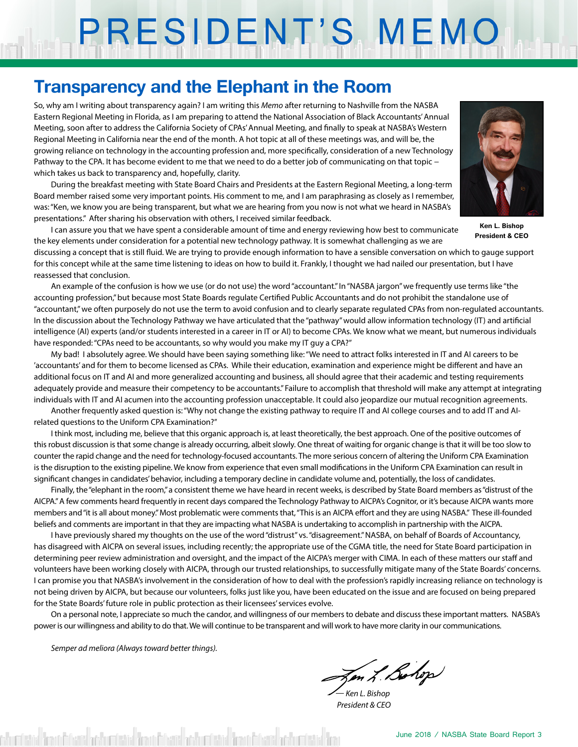# PRESIDENT'S MEMO

## **Transparency and the Elephant in the Room**

So, why am I writing about transparency again? I am writing this *Memo* after returning to Nashville from the NASBA Eastern Regional Meeting in Florida, as I am preparing to attend the National Association of Black Accountants' Annual Meeting, soon after to address the California Society of CPAs' Annual Meeting, and finally to speak at NASBA's Western Regional Meeting in California near the end of the month. A hot topic at all of these meetings was, and will be, the growing reliance on technology in the accounting profession and, more specifically, consideration of a new Technology Pathway to the CPA. It has become evident to me that we need to do a better job of communicating on that topic − which takes us back to transparency and, hopefully, clarity.

During the breakfast meeting with State Board Chairs and Presidents at the Eastern Regional Meeting, a long-term Board member raised some very important points. His comment to me, and I am paraphrasing as closely as I remember, was: "Ken, we know you are being transparent, but what we are hearing from you now is not what we heard in NASBA's presentations." After sharing his observation with others, I received similar feedback.



**Ken L. Bishop President & CEO**

I can assure you that we have spent a considerable amount of time and energy reviewing how best to communicate the key elements under consideration for a potential new technology pathway. It is somewhat challenging as we are

discussing a concept that is still fluid. We are trying to provide enough information to have a sensible conversation on which to gauge support for this concept while at the same time listening to ideas on how to build it. Frankly, I thought we had nailed our presentation, but I have reassessed that conclusion.

An example of the confusion is how we use (or do not use) the word "accountant." In "NASBA jargon" we frequently use terms like "the accounting profession," but because most State Boards regulate Certified Public Accountants and do not prohibit the standalone use of "accountant," we often purposely do not use the term to avoid confusion and to clearly separate regulated CPAs from non-regulated accountants. In the discussion about the Technology Pathway we have articulated that the "pathway" would allow information technology (IT) and artificial intelligence (AI) experts (and/or students interested in a career in IT or AI) to become CPAs. We know what we meant, but numerous individuals have responded: "CPAs need to be accountants, so why would you make my IT guy a CPA?"

My bad! I absolutely agree. We should have been saying something like: "We need to attract folks interested in IT and AI careers to be 'accountants' and for them to become licensed as CPAs. While their education, examination and experience might be different and have an additional focus on IT and AI and more generalized accounting and business, all should agree that their academic and testing requirements adequately provide and measure their competency to be accountants." Failure to accomplish that threshold will make any attempt at integrating individuals with IT and AI acumen into the accounting profession unacceptable. It could also jeopardize our mutual recognition agreements.

Another frequently asked question is: "Why not change the existing pathway to require IT and AI college courses and to add IT and AIrelated questions to the Uniform CPA Examination?"

I think most, including me, believe that this organic approach is, at least theoretically, the best approach. One of the positive outcomes of this robust discussion is that some change is already occurring, albeit slowly. One threat of waiting for organic change is that it will be too slow to counter the rapid change and the need for technology-focused accountants. The more serious concern of altering the Uniform CPA Examination is the disruption to the existing pipeline. We know from experience that even small modifications in the Uniform CPA Examination can result in significant changes in candidates' behavior, including a temporary decline in candidate volume and, potentially, the loss of candidates.

Finally, the "elephant in the room," a consistent theme we have heard in recent weeks, is described by State Board members as "distrust of the AICPA." A few comments heard frequently in recent days compared the Technology Pathway to AICPA's Cognitor, or it's because AICPA wants more members and "it is all about money." Most problematic were comments that, "This is an AICPA effort and they are using NASBA." These ill-founded beliefs and comments are important in that they are impacting what NASBA is undertaking to accomplish in partnership with the AICPA.

I have previously shared my thoughts on the use of the word "distrust" vs. "disagreement." NASBA, on behalf of Boards of Accountancy, has disagreed with AICPA on several issues, including recently; the appropriate use of the CGMA title, the need for State Board participation in determining peer review administration and oversight, and the impact of the AICPA's merger with CIMA. In each of these matters our staff and volunteers have been working closely with AICPA, through our trusted relationships, to successfully mitigate many of the State Boards' concerns. I can promise you that NASBA's involvement in the consideration of how to deal with the profession's rapidly increasing reliance on technology is not being driven by AICPA, but because our volunteers, folks just like you, have been educated on the issue and are focused on being prepared for the State Boards' future role in public protection as their licensees' services evolve.

On a personal note, I appreciate so much the candor, and willingness of our members to debate and discuss these important matters. NASBA's power is our willingness and ability to do that. We will continue to be transparent and will work to have more clarity in our communications.

*Semper ad meliora (Always toward better things).*

Jen L. Bohop *— Ken L. Bishop*

 *President & CEO*

shumberida "Imari Filiwiishari" etabal "Imari Filiwiishari" etaba "Imari Filiwiishari" etabal "Im